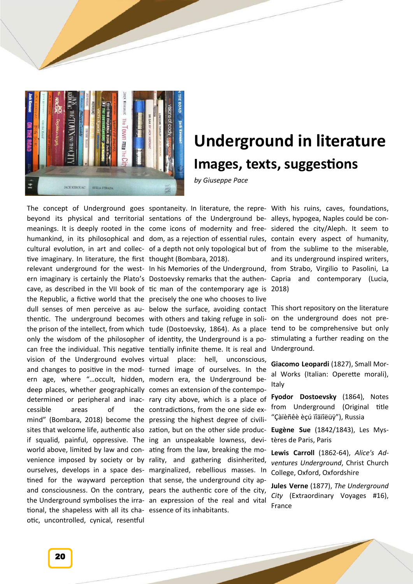

## **Underground in literature Images, texts, suggestions**

*by Giuseppe Pace*

The concept of Underground goes spontaneity. In literature, the repre- With his ruins, caves, foundations, beyond its physical and territorial sentations of the Underground be- alleys, hypogea, Naples could be contive imaginary. In literature, the first thought (Bombara, 2018). thentic. The underground becomes with others and taking refuge in solionly the wisdom of the philosopher of identity, the Underground is a povision of the Underground evolves virtual ern age, where "…occult, hidden, modern era, the Underground bedeep places, whether geographically comes an extension of the contempocessible areas of mind" (Bombara, 2018) become the pressing the highest degree of civilisites that welcome life, authentic also zation, but on the other side producif squalid, painful, oppressive. The ing an unspeakable lowness, deviworld above, limited by law and con-ating from the law, breaking the motined for the wayward perception that sense, the underground city aptional, the shapeless with all its cha-essence of its inhabitants. otic, uncontrolled, cynical, resentful

relevant underground for the west-In his Memories of the Underground, from Strabo, Virgilio to Pasolini, La ern imaginary is certainly the Plato's Dostoevsky remarks that the authen- Capria and contemporary (Lucia, cave, as described in the VII book of tic man of the contemporary age is 2018) the Republic, a fictive world that the precisely the one who chooses to live dull senses of men perceive as au- below the surface, avoiding contact This short repository on the literature the prison of the intellect, from which tude (Dostoevsky, 1864). As a place can free the individual. This negative tentially infinite theme. It is real and and changes to positive in the mod-turned image of ourselves. In the determined or peripheral and inac- rary city above, which is a place of venience imposed by society or by rality, and gathering disinherited, ourselves, develops in a space des-marginalized, rebellious masses. In and consciousness. On the contrary, pears the authentic core of the city, the Underground symbolises the irra-an expression of the real and vital place: hell, unconscious, the contradictions, from the one side ex-

meanings. It is deeply rooted in the come icons of modernity and free- sidered the city/Aleph. It seem to humankind, in its philosophical and dom, as a rejection of essential rules, contain every aspect of humanity, cultural evolution, in art and collec-of a depth not only topological but of from the sublime to the miserable, and its underground inspired writers,

> on the underground does not pretend to be comprehensive but only stimulating a further reading on the Underground.

> **Giacomo Leopardi** (1827), Small Moral Works (Italian: Operette morali), Italy

> **Fyodor Dostoevsky** (1864), Notes from Underground (Original title "Çàïèñêè èçú ïîäïîëüÿ"), Russia

> **Eugène Sue** (1842/1843), Les Mystères de Paris, Paris

> **Lewis Carroll** (1862-64), *Alice's Adventures Underground*, Christ Church College, Oxford, Oxfordshire

> **Jules Verne** (1877), *The Underground City* (Extraordinary Voyages #16), France